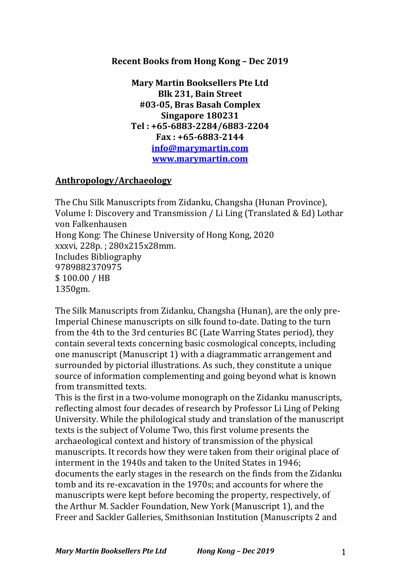# **Recent Books from Hong Kong - Dec 2019**

**Mary Martin Booksellers Pte Ltd Blk 231, Bain Street #03-05, Bras Basah Complex Singapore 180231 Tel : +65-6883-2284/6883-2204 Fax : +65-6883-2144 info@marymartin.com www.marymartin.com**

# **Anthropology/Archaeology**

The Chu Silk Manuscripts from Zidanku, Changsha (Hunan Province), Volume I: Discovery and Transmission / Li Ling (Translated & Ed) Lothar von Falkenhausen Hong Kong: The Chinese University of Hong Kong, 2020 xxxvi, 228p.; 280x215x28mm. Includes Bibliography 9789882370975 \$ 100.00 / HB 1350gm.

The Silk Manuscripts from Zidanku, Changsha (Hunan), are the only pre-Imperial Chinese manuscripts on silk found to-date. Dating to the turn from the 4th to the 3rd centuries BC (Late Warring States period), they contain several texts concerning basic cosmological concepts, including one manuscript (Manuscript 1) with a diagrammatic arrangement and surrounded by pictorial illustrations. As such, they constitute a unique source of information complementing and going beyond what is known from transmitted texts.

This is the first in a two-volume monograph on the Zidanku manuscripts, reflecting almost four decades of research by Professor Li Ling of Peking University. While the philological study and translation of the manuscript texts is the subject of Volume Two, this first volume presents the archaeological context and history of transmission of the physical manuscripts. It records how they were taken from their original place of interment in the 1940s and taken to the United States in 1946; documents the early stages in the research on the finds from the Zidanku tomb and its re-excavation in the 1970s; and accounts for where the manuscripts were kept before becoming the property, respectively, of the Arthur M. Sackler Foundation, New York (Manuscript 1), and the Freer and Sackler Galleries, Smithsonian Institution (Manuscripts 2 and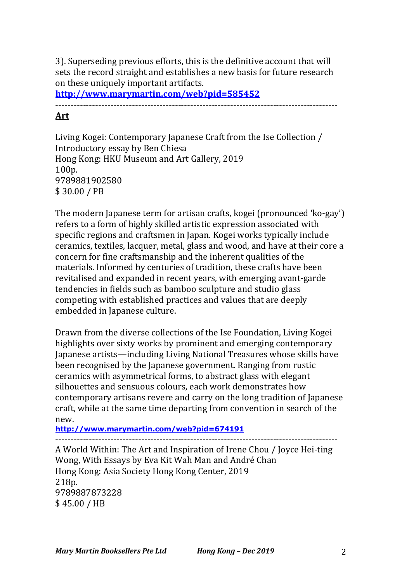3). Superseding previous efforts, this is the definitive account that will sets the record straight and establishes a new basis for future research on these uniquely important artifacts.

**http://www.marymartin.com/web?pid=585452**

--------------------------------------------------------------------------------------------

# **Art**

Living Kogei: Contemporary Japanese Craft from the Ise Collection / Introductory essay by Ben Chiesa Hong Kong: HKU Museum and Art Gallery, 2019 100p. 9789881902580 \$ 30.00 / PB

The modern Japanese term for artisan crafts, kogei (pronounced 'ko-gay') refers to a form of highly skilled artistic expression associated with specific regions and craftsmen in Japan. Kogei works typically include ceramics, textiles, lacquer, metal, glass and wood, and have at their core a concern for fine craftsmanship and the inherent qualities of the materials. Informed by centuries of tradition, these crafts have been revitalised and expanded in recent years, with emerging avant-garde tendencies in fields such as bamboo sculpture and studio glass competing with established practices and values that are deeply embedded in Japanese culture.

Drawn from the diverse collections of the Ise Foundation, Living Kogei highlights over sixty works by prominent and emerging contemporary Japanese artists—including Living National Treasures whose skills have been recognised by the Japanese government. Ranging from rustic ceramics with asymmetrical forms, to abstract glass with elegant silhouettes and sensuous colours, each work demonstrates how contemporary artisans revere and carry on the long tradition of Japanese craft, while at the same time departing from convention in search of the new.

**http://www.marymartin.com/web?pid=674191**

--------------------------------------------------------------------------------------------

A World Within: The Art and Inspiration of Irene Chou / Joyce Hei-ting Wong, With Essays by Eva Kit Wah Man and André Chan Hong Kong: Asia Society Hong Kong Center, 2019 218p. 9789887873228 \$ 45.00 / HB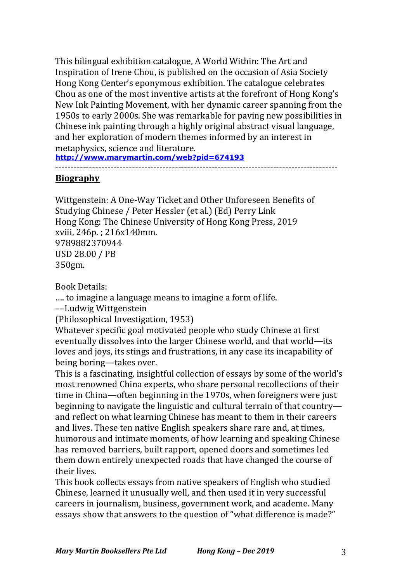This bilingual exhibition catalogue, A World Within: The Art and Inspiration of Irene Chou, is published on the occasion of Asia Society Hong Kong Center's eponymous exhibition. The catalogue celebrates Chou as one of the most inventive artists at the forefront of Hong Kong's New Ink Painting Movement, with her dynamic career spanning from the 1950s to early 2000s. She was remarkable for paving new possibilities in Chinese ink painting through a highly original abstract visual language, and her exploration of modern themes informed by an interest in metaphysics, science and literature.

**http://www.marymartin.com/web?pid=674193**

--------------------------------------------------------------------------------------------

# **Biography**

Wittgenstein: A One-Way Ticket and Other Unforeseen Benefits of Studying Chinese / Peter Hessler (et al.) (Ed) Perry Link Hong Kong: The Chinese University of Hong Kong Press, 2019 xviii, 246p.; 216x140mm. 9789882370944 USD 28.00 / PB 350gm.

Book Details:

.... to imagine a language means to imagine a form of life.

––Ludwig Wittgenstein

(Philosophical Investigation, 1953)

Whatever specific goal motivated people who study Chinese at first eventually dissolves into the larger Chinese world, and that world—its loves and joys, its stings and frustrations, in any case its incapability of being boring—takes over.

This is a fascinating, insightful collection of essays by some of the world's most renowned China experts, who share personal recollections of their time in China—often beginning in the 1970s, when foreigners were just beginning to navigate the linguistic and cultural terrain of that countryand reflect on what learning Chinese has meant to them in their careers and lives. These ten native English speakers share rare and, at times, humorous and intimate moments, of how learning and speaking Chinese has removed barriers, built rapport, opened doors and sometimes led them down entirely unexpected roads that have changed the course of their lives.

This book collects essays from native speakers of English who studied Chinese, learned it unusually well, and then used it in very successful careers in journalism, business, government work, and academe. Many essays show that answers to the question of "what difference is made?"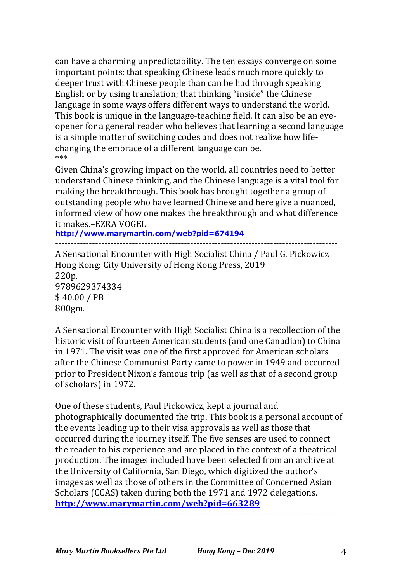can have a charming unpredictability. The ten essays converge on some important points: that speaking Chinese leads much more quickly to deeper trust with Chinese people than can be had through speaking English or by using translation; that thinking "inside" the Chinese language in some ways offers different ways to understand the world. This book is unique in the language-teaching field. It can also be an eyeopener for a general reader who believes that learning a second language is a simple matter of switching codes and does not realize how lifechanging the embrace of a different language can be. \*\*\*

Given China's growing impact on the world, all countries need to better understand Chinese thinking, and the Chinese language is a vital tool for making the breakthrough. This book has brought together a group of outstanding people who have learned Chinese and here give a nuanced, informed view of how one makes the breakthrough and what difference it makes.–EZRA VOGEL

**http://www.marymartin.com/web?pid=674194**

--------------------------------------------------------------------------------------------

A Sensational Encounter with High Socialist China / Paul G. Pickowicz Hong Kong: City University of Hong Kong Press, 2019 220p. 9789629374334 \$ 40.00 / PB 800gm.

A Sensational Encounter with High Socialist China is a recollection of the historic visit of fourteen American students (and one Canadian) to China in 1971. The visit was one of the first approved for American scholars after the Chinese Communist Party came to power in 1949 and occurred prior to President Nixon's famous trip (as well as that of a second group of scholars) in 1972.

One of these students, Paul Pickowicz, kept a journal and photographically documented the trip. This book is a personal account of the events leading up to their visa approvals as well as those that occurred during the journey itself. The five senses are used to connect the reader to his experience and are placed in the context of a theatrical production. The images included have been selected from an archive at the University of California, San Diego, which digitized the author's images as well as those of others in the Committee of Concerned Asian Scholars (CCAS) taken during both the 1971 and 1972 delegations. **http://www.marymartin.com/web?pid=663289**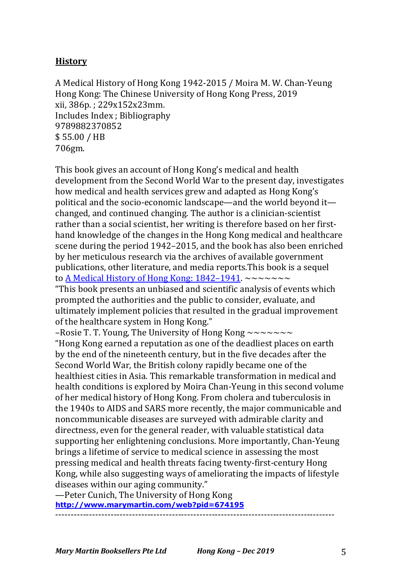# **History**

A Medical History of Hong Kong 1942-2015 / Moira M. W. Chan-Yeung Hong Kong: The Chinese University of Hong Kong Press, 2019 xii, 386p.; 229x152x23mm. Includes Index ; Bibliography 9789882370852 \$ 55.00 / HB 706gm.

This book gives an account of Hong Kong's medical and health development from the Second World War to the present day, investigates how medical and health services grew and adapted as Hong Kong's political and the socio-economic landscape—and the world beyond it changed, and continued changing. The author is a clinician-scientist rather than a social scientist, her writing is therefore based on her firsthand knowledge of the changes in the Hong Kong medical and healthcare scene during the period 1942–2015, and the book has also been enriched by her meticulous research via the archives of available government publications, other literature, and media reports. This book is a sequel to A Medical History of Hong Kong:  $1842-1941$ . ~~~~~~~ "This book presents an unbiased and scientific analysis of events which prompted the authorities and the public to consider, evaluate, and ultimately implement policies that resulted in the gradual improvement of the healthcare system in Hong Kong." –Rosie T. T. Young, The University of Hong Kong  $\sim\sim\sim\sim\sim\sim$ "Hong Kong earned a reputation as one of the deadliest places on earth by the end of the nineteenth century, but in the five decades after the Second World War, the British colony rapidly became one of the healthiest cities in Asia. This remarkable transformation in medical and health conditions is explored by Moira Chan-Yeung in this second volume of her medical history of Hong Kong. From cholera and tuberculosis in the 1940s to AIDS and SARS more recently, the major communicable and noncommunicable diseases are surveyed with admirable clarity and directness, even for the general reader, with valuable statistical data supporting her enlightening conclusions. More importantly, Chan-Yeung brings a lifetime of service to medical science in assessing the most pressing medical and health threats facing twenty-first-century Hong Kong, while also suggesting ways of ameliorating the impacts of lifestyle diseases within our aging community." —Peter Cunich, The University of Hong Kong

**http://www.marymartin.com/web?pid=674195** -------------------------------------------------------------------------------------------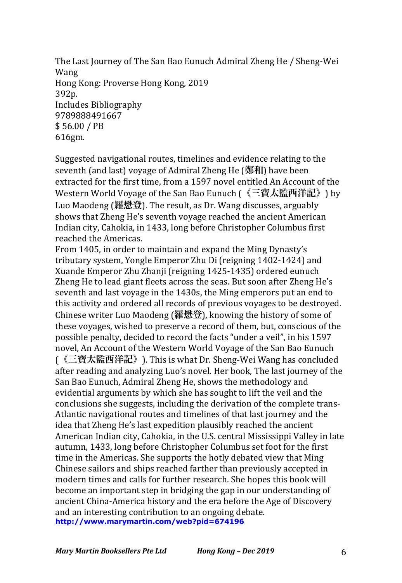The Last Journey of The San Bao Eunuch Admiral Zheng He / Sheng-Wei Wang Hong Kong: Proverse Hong Kong, 2019 392p. Includes Bibliography 9789888491667 \$ 56.00 / PB 616gm.

Suggested navigational routes, timelines and evidence relating to the seventh (and last) voyage of Admiral Zheng He (鄭和) have been extracted for the first time, from a 1597 novel entitled An Account of the Western World Voyage of the San Bao Eunuch (《三寶太監西洋記》) by Luo Maodeng (羅懋登). The result, as Dr. Wang discusses, arguably shows that Zheng He's seventh voyage reached the ancient American Indian city, Cahokia, in 1433, long before Christopher Columbus first reached the Americas.

From 1405, in order to maintain and expand the Ming Dynasty's tributary system, Yongle Emperor Zhu Di (reigning 1402-1424) and Xuande Emperor Zhu Zhanji (reigning 1425-1435) ordered eunuch Zheng He to lead giant fleets across the seas. But soon after Zheng He's seventh and last voyage in the 1430s, the Ming emperors put an end to this activity and ordered all records of previous voyages to be destroyed. Chinese writer Luo Maodeng (羅懋登), knowing the history of some of these voyages, wished to preserve a record of them, but, conscious of the possible penalty, decided to record the facts "under a veil", in his 1597 novel, An Account of the Western World Voyage of the San Bao Eunuch (《三寶太監西洋記》). This is what Dr. Sheng-Wei Wang has concluded after reading and analyzing Luo's novel. Her book, The last journey of the San Bao Eunuch, Admiral Zheng He, shows the methodology and evidential arguments by which she has sought to lift the veil and the conclusions she suggests, including the derivation of the complete trans-Atlantic navigational routes and timelines of that last journey and the idea that Zheng He's last expedition plausibly reached the ancient American Indian city, Cahokia, in the U.S. central Mississippi Valley in late autumn, 1433, long before Christopher Columbus set foot for the first time in the Americas. She supports the hotly debated view that Ming Chinese sailors and ships reached farther than previously accepted in modern times and calls for further research. She hopes this book will become an important step in bridging the gap in our understanding of ancient China-America history and the era before the Age of Discovery and an interesting contribution to an ongoing debate. **http://www.marymartin.com/web?pid=674196**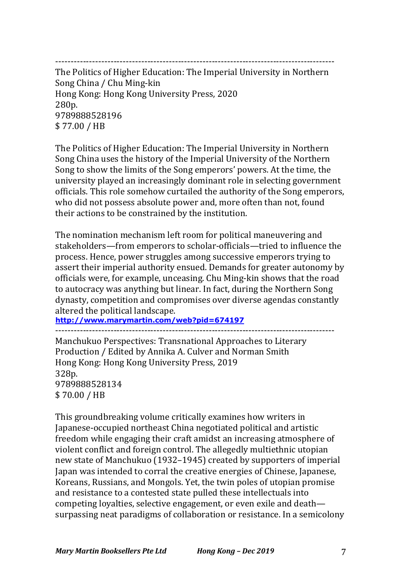-------------------------------------------------------------------------------------------

The Politics of Higher Education: The Imperial University in Northern Song China / Chu Ming-kin Hong Kong: Hong Kong University Press, 2020 280p. 9789888528196 \$ 77.00 / HB

The Politics of Higher Education: The Imperial University in Northern Song China uses the history of the Imperial University of the Northern Song to show the limits of the Song emperors' powers. At the time, the university played an increasingly dominant role in selecting government officials. This role somehow curtailed the authority of the Song emperors, who did not possess absolute power and, more often than not, found their actions to be constrained by the institution.

The nomination mechanism left room for political maneuvering and stakeholders—from emperors to scholar-officials—tried to influence the process. Hence, power struggles among successive emperors trying to assert their imperial authority ensued. Demands for greater autonomy by officials were, for example, unceasing. Chu Ming-kin shows that the road to autocracy was anything but linear. In fact, during the Northern Song dynasty, competition and compromises over diverse agendas constantly altered the political landscape.

**http://www.marymartin.com/web?pid=674197**

-------------------------------------------------------------------------------------------

Manchukuo Perspectives: Transnational Approaches to Literary Production / Edited by Annika A. Culver and Norman Smith Hong Kong: Hong Kong University Press, 2019 328p. 9789888528134 \$ 70.00 / HB

This groundbreaking volume critically examines how writers in Japanese-occupied northeast China negotiated political and artistic freedom while engaging their craft amidst an increasing atmosphere of violent conflict and foreign control. The allegedly multiethnic utopian new state of Manchukuo (1932–1945) created by supporters of imperial Japan was intended to corral the creative energies of Chinese, Japanese, Koreans, Russians, and Mongols. Yet, the twin poles of utopian promise and resistance to a contested state pulled these intellectuals into competing loyalties, selective engagement, or even exile and death surpassing neat paradigms of collaboration or resistance. In a semicolony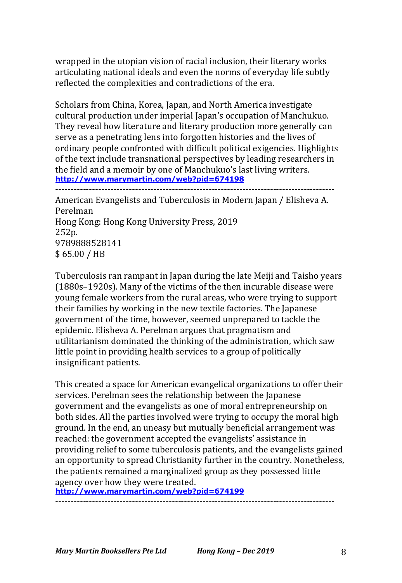wrapped in the utopian vision of racial inclusion, their literary works articulating national ideals and even the norms of everyday life subtly reflected the complexities and contradictions of the era.

Scholars from China, Korea, Japan, and North America investigate cultural production under imperial Japan's occupation of Manchukuo. They reveal how literature and literary production more generally can serve as a penetrating lens into forgotten histories and the lives of ordinary people confronted with difficult political exigencies. Highlights of the text include transnational perspectives by leading researchers in the field and a memoir by one of Manchukuo's last living writers. **http://www.marymartin.com/web?pid=674198**

```
-------------------------------------------------------------------------------------------
```
American Evangelists and Tuberculosis in Modern Japan / Elisheva A. Perelman Hong Kong: Hong Kong University Press, 2019 252p. 9789888528141 \$ 65.00 / HB

Tuberculosis ran rampant in Japan during the late Meiji and Taisho years (1880s-1920s). Many of the victims of the then incurable disease were young female workers from the rural areas, who were trying to support their families by working in the new textile factories. The Japanese government of the time, however, seemed unprepared to tackle the epidemic. Elisheva A. Perelman argues that pragmatism and utilitarianism dominated the thinking of the administration, which saw little point in providing health services to a group of politically insignificant patients.

This created a space for American evangelical organizations to offer their services. Perelman sees the relationship between the Japanese government and the evangelists as one of moral entrepreneurship on both sides. All the parties involved were trying to occupy the moral high ground. In the end, an uneasy but mutually beneficial arrangement was reached: the government accepted the evangelists' assistance in providing relief to some tuberculosis patients, and the evangelists gained an opportunity to spread Christianity further in the country. Nonetheless, the patients remained a marginalized group as they possessed little agency over how they were treated.

**http://www.marymartin.com/web?pid=674199**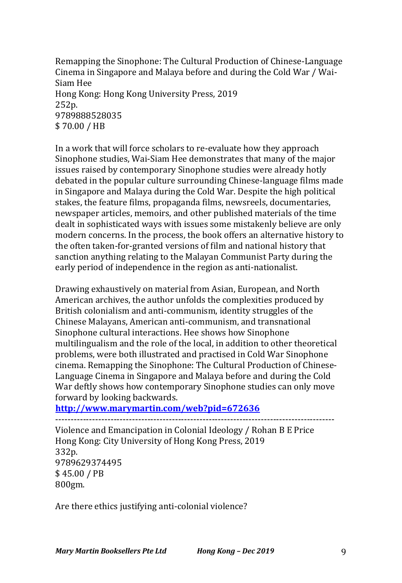Remapping the Sinophone: The Cultural Production of Chinese-Language Cinema in Singapore and Malaya before and during the Cold War / Wai-Siam Hee Hong Kong: Hong Kong University Press, 2019 252p. 9789888528035 \$ 70.00 / HB

In a work that will force scholars to re-evaluate how they approach Sinophone studies, Wai-Siam Hee demonstrates that many of the major issues raised by contemporary Sinophone studies were already hotly debated in the popular culture surrounding Chinese-language films made in Singapore and Malaya during the Cold War. Despite the high political stakes, the feature films, propaganda films, newsreels, documentaries, newspaper articles, memoirs, and other published materials of the time dealt in sophisticated ways with issues some mistakenly believe are only modern concerns. In the process, the book offers an alternative history to the often taken-for-granted versions of film and national history that sanction anything relating to the Malayan Communist Party during the early period of independence in the region as anti-nationalist.

Drawing exhaustively on material from Asian, European, and North American archives, the author unfolds the complexities produced by British colonialism and anti-communism, identity struggles of the Chinese Malayans, American anti-communism, and transnational Sinophone cultural interactions. Hee shows how Sinophone multilingualism and the role of the local, in addition to other theoretical problems, were both illustrated and practised in Cold War Sinophone cinema. Remapping the Sinophone: The Cultural Production of Chinese-Language Cinema in Singapore and Malaya before and during the Cold War deftly shows how contemporary Sinophone studies can only move forward by looking backwards.

**http://www.marymartin.com/web?pid=672636**

------------------------------------------------------------------------------------------- Violence and Emancipation in Colonial Ideology / Rohan B E Price

Hong Kong: City University of Hong Kong Press, 2019 332p. 9789629374495 \$ 45.00 / PB 800gm.

Are there ethics justifying anti-colonial violence?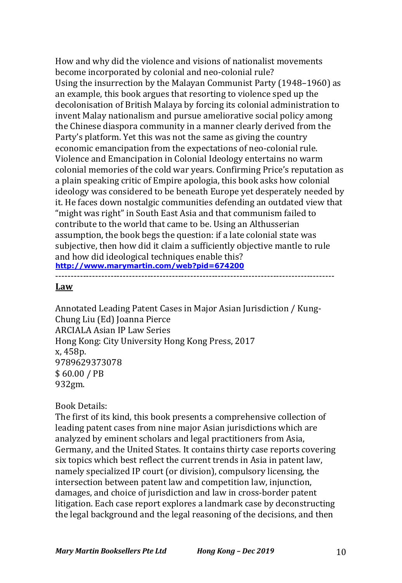How and why did the violence and visions of nationalist movements become incorporated by colonial and neo-colonial rule? Using the insurrection by the Malayan Communist Party (1948–1960) as an example, this book argues that resorting to violence sped up the decolonisation of British Malaya by forcing its colonial administration to invent Malay nationalism and pursue ameliorative social policy among the Chinese diaspora community in a manner clearly derived from the Party's platform. Yet this was not the same as giving the country economic emancipation from the expectations of neo-colonial rule. Violence and Emancipation in Colonial Ideology entertains no warm colonial memories of the cold war years. Confirming Price's reputation as a plain speaking critic of Empire apologia, this book asks how colonial ideology was considered to be beneath Europe yet desperately needed by it. He faces down nostalgic communities defending an outdated view that "might was right" in South East Asia and that communism failed to contribute to the world that came to be. Using an Althusserian assumption, the book begs the question: if a late colonial state was subjective, then how did it claim a sufficiently objective mantle to rule and how did ideological techniques enable this? **http://www.marymartin.com/web?pid=674200**

#### **Law**

Annotated Leading Patent Cases in Major Asian Jurisdiction / Kung-Chung Liu (Ed) Joanna Pierce ARCIALA Asian IP Law Series Hong Kong: City University Hong Kong Press, 2017 x, 458p. 9789629373078 \$ 60.00 / PB 932gm.

-------------------------------------------------------------------------------------------

#### Book Details:

The first of its kind, this book presents a comprehensive collection of leading patent cases from nine major Asian jurisdictions which are analyzed by eminent scholars and legal practitioners from Asia, Germany, and the United States. It contains thirty case reports covering six topics which best reflect the current trends in Asia in patent law, namely specialized IP court (or division), compulsory licensing, the intersection between patent law and competition law, injunction, damages, and choice of jurisdiction and law in cross-border patent litigation. Each case report explores a landmark case by deconstructing the legal background and the legal reasoning of the decisions, and then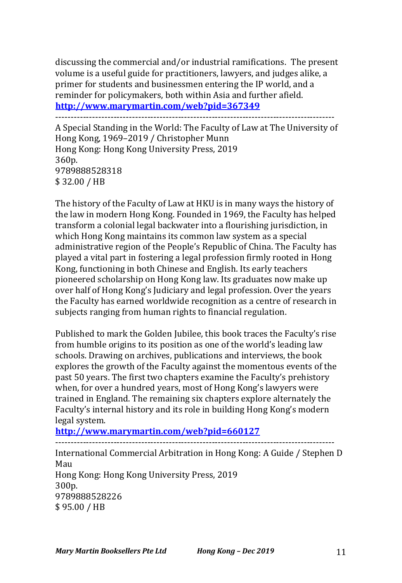discussing the commercial and/or industrial ramifications. The present volume is a useful guide for practitioners, lawyers, and judges alike, a primer for students and businessmen entering the IP world, and a reminder for policymakers, both within Asia and further afield. **http://www.marymartin.com/web?pid=367349**

-------------------------------------------------------------------------------------------

A Special Standing in the World: The Faculty of Law at The University of Hong Kong, 1969–2019 / Christopher Munn Hong Kong: Hong Kong University Press, 2019 360p. 9789888528318 \$ 32.00 / HB

The history of the Faculty of Law at HKU is in many ways the history of the law in modern Hong Kong. Founded in 1969, the Faculty has helped transform a colonial legal backwater into a flourishing jurisdiction, in which Hong Kong maintains its common law system as a special administrative region of the People's Republic of China. The Faculty has played a vital part in fostering a legal profession firmly rooted in Hong Kong, functioning in both Chinese and English. Its early teachers pioneered scholarship on Hong Kong law. Its graduates now make up over half of Hong Kong's Judiciary and legal profession. Over the years the Faculty has earned worldwide recognition as a centre of research in subjects ranging from human rights to financial regulation.

Published to mark the Golden Jubilee, this book traces the Faculty's rise from humble origins to its position as one of the world's leading law schools. Drawing on archives, publications and interviews, the book explores the growth of the Faculty against the momentous events of the past 50 years. The first two chapters examine the Faculty's prehistory when, for over a hundred years, most of Hong Kong's lawyers were trained in England. The remaining six chapters explore alternately the Faculty's internal history and its role in building Hong Kong's modern legal system.

**http://www.marymartin.com/web?pid=660127**

-------------------------------------------------------------------------------------------

International Commercial Arbitration in Hong Kong: A Guide / Stephen D Mau Hong Kong: Hong Kong University Press, 2019 300p. 9789888528226 \$ 95.00 / HB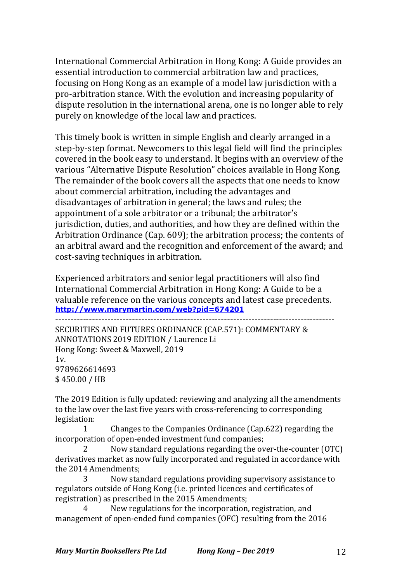International Commercial Arbitration in Hong Kong: A Guide provides an essential introduction to commercial arbitration law and practices, focusing on Hong Kong as an example of a model law jurisdiction with a pro-arbitration stance. With the evolution and increasing popularity of dispute resolution in the international arena, one is no longer able to rely purely on knowledge of the local law and practices.

This timely book is written in simple English and clearly arranged in a step-by-step format. Newcomers to this legal field will find the principles covered in the book easy to understand. It begins with an overview of the various "Alternative Dispute Resolution" choices available in Hong Kong. The remainder of the book covers all the aspects that one needs to know about commercial arbitration, including the advantages and disadvantages of arbitration in general; the laws and rules; the appointment of a sole arbitrator or a tribunal; the arbitrator's jurisdiction, duties, and authorities, and how they are defined within the Arbitration Ordinance (Cap. 609); the arbitration process; the contents of an arbitral award and the recognition and enforcement of the award; and cost-saving techniques in arbitration.

Experienced arbitrators and senior legal practitioners will also find International Commercial Arbitration in Hong Kong: A Guide to be a valuable reference on the various concepts and latest case precedents. **http://www.marymartin.com/web?pid=674201**

-------------------------------------------------------------------------------------------

SECURITIES AND FUTURES ORDINANCE (CAP.571): COMMENTARY & ANNOTATIONS 2019 EDITION / Laurence Li Hong Kong: Sweet & Maxwell, 2019  $1v.$ 9789626614693 \$ 450.00 / HB

The 2019 Edition is fully updated: reviewing and analyzing all the amendments to the law over the last five years with cross-referencing to corresponding legislation:

1 Changes to the Companies Ordinance (Cap.622) regarding the incorporation of open-ended investment fund companies;

Now standard regulations regarding the over-the-counter (OTC) derivatives market as now fully incorporated and regulated in accordance with the 2014 Amendments;

3 Now standard regulations providing supervisory assistance to regulators outside of Hong Kong (i.e. printed licences and certificates of registration) as prescribed in the 2015 Amendments;

New regulations for the incorporation, registration, and management of open-ended fund companies (OFC) resulting from the 2016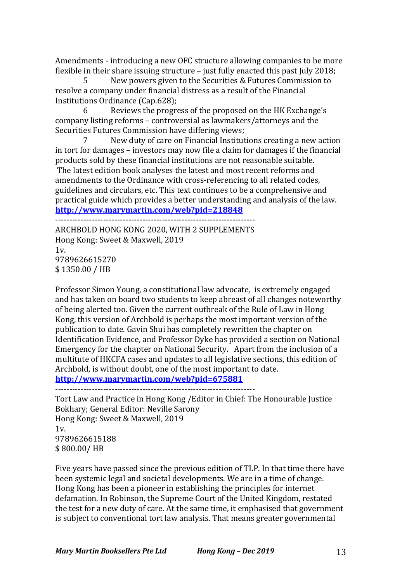Amendments - introducing a new OFC structure allowing companies to be more flexible in their share issuing structure  $-$  just fully enacted this past July 2018;

5 New powers given to the Securities & Futures Commission to resolve a company under financial distress as a result of the Financial Institutions Ordinance (Cap.628);

6 Reviews the progress of the proposed on the HK Exchange's company listing reforms - controversial as lawmakers/attorneys and the Securities Futures Commission have differing views;

7 New duty of care on Financial Institutions creating a new action in tort for damages - investors may now file a claim for damages if the financial products sold by these financial institutions are not reasonable suitable. The latest edition book analyses the latest and most recent reforms and amendments to the Ordinance with cross-referencing to all related codes, guidelines and circulars, etc. This text continues to be a comprehensive and practical guide which provides a better understanding and analysis of the law. **http://www.marymartin.com/web?pid=218848**

-----------------------------------------------------------------------

ARCHBOLD HONG KONG 2020, WITH 2 SUPPLEMENTS Hong Kong: Sweet & Maxwell, 2019  $1v.$ 9789626615270 \$ 1350.00 / HB

Professor Simon Young, a constitutional law advocate, is extremely engaged and has taken on board two students to keep abreast of all changes noteworthy of being alerted too. Given the current outbreak of the Rule of Law in Hong Kong, this version of Archbold is perhaps the most important version of the publication to date. Gavin Shui has completely rewritten the chapter on Identification Evidence, and Professor Dyke has provided a section on National Emergency for the chapter on National Security. Apart from the inclusion of a multitute of HKCFA cases and updates to all legislative sections, this edition of Archbold, is without doubt, one of the most important to date. **http://www.marymartin.com/web?pid=675881**

-----------------------------------------------------------------------

Tort Law and Practice in Hong Kong / Editor in Chief: The Honourable Justice Bokhary; General Editor: Neville Sarony Hong Kong: Sweet & Maxwell, 2019  $1v.$ 9789626615188 \$ 800.00/ HB

Five years have passed since the previous edition of TLP. In that time there have been systemic legal and societal developments. We are in a time of change. Hong Kong has been a pioneer in establishing the principles for internet defamation. In Robinson, the Supreme Court of the United Kingdom, restated the test for a new duty of care. At the same time, it emphasised that government is subject to conventional tort law analysis. That means greater governmental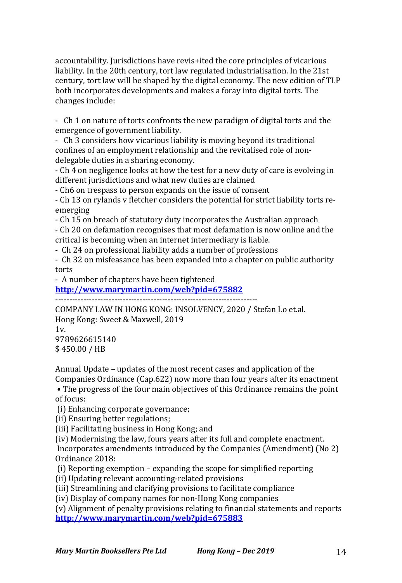accountability. Jurisdictions have revis+ited the core principles of vicarious liability. In the 20th century, tort law regulated industrialisation. In the 21st century, tort law will be shaped by the digital economy. The new edition of TLP both incorporates developments and makes a foray into digital torts. The changes include:

- Ch 1 on nature of torts confronts the new paradigm of digital torts and the emergence of government liability.

- Ch 3 considers how vicarious liability is moving beyond its traditional confines of an employment relationship and the revitalised role of nondelegable duties in a sharing economy.

- Ch 4 on negligence looks at how the test for a new duty of care is evolving in different jurisdictions and what new duties are claimed

- Ch6 on trespass to person expands on the issue of consent

- Ch 13 on rylands v fletcher considers the potential for strict liability torts reemerging

- Ch 15 on breach of statutory duty incorporates the Australian approach

- Ch 20 on defamation recognises that most defamation is now online and the critical is becoming when an internet intermediary is liable.

- Ch 24 on professional liability adds a number of professions

- Ch 32 on misfeasance has been expanded into a chapter on public authority torts

- A number of chapters have been tightened

**http://www.marymartin.com/web?pid=675882**

------------------------------------------------------------------------

COMPANY LAW IN HONG KONG: INSOLVENCY, 2020 / Stefan Lo et.al. Hong Kong: Sweet & Maxwell, 2019  $1v$ 9789626615140 \$ 450.00 / HB

Annual Update – updates of the most recent cases and application of the Companies Ordinance (Cap.622) now more than four years after its enactment

• The progress of the four main objectives of this Ordinance remains the point of focus:

(i) Enhancing corporate governance;

(ii) Ensuring better regulations;

(iii) Facilitating business in Hong Kong; and

(iv) Modernising the law, fours years after its full and complete enactment.

Incorporates amendments introduced by the Companies (Amendment) (No 2) Ordinance 2018:

- (i) Reporting exemption  $-$  expanding the scope for simplified reporting
- (ii) Updating relevant accounting-related provisions
- (iii) Streamlining and clarifying provisions to facilitate compliance

(iv) Display of company names for non-Hong Kong companies

(v) Alignment of penalty provisions relating to financial statements and reports **http://www.marymartin.com/web?pid=675883**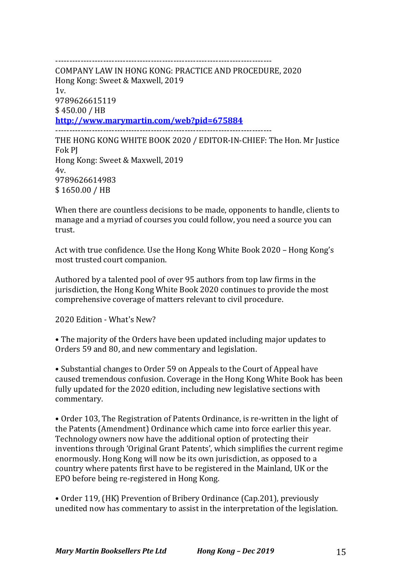----------------------------------------------------------------------------- COMPANY LAW IN HONG KONG: PRACTICE AND PROCEDURE, 2020 Hong Kong: Sweet & Maxwell, 2019 1v. 9789626615119 \$ 450.00 / HB **http://www.marymartin.com/web?pid=675884** ----------------------------------------------------------------------------- THE HONG KONG WHITE BOOK 2020 / EDITOR-IN-CHIEF: The Hon. Mr Justice Fok PJ Hong Kong: Sweet & Maxwell, 2019  $4v$ 9789626614983 \$ 1650.00 / HB

When there are countless decisions to be made, opponents to handle, clients to manage and a myriad of courses you could follow, you need a source you can trust.

Act with true confidence. Use the Hong Kong White Book 2020 - Hong Kong's most trusted court companion.

Authored by a talented pool of over 95 authors from top law firms in the jurisdiction, the Hong Kong White Book 2020 continues to provide the most comprehensive coverage of matters relevant to civil procedure.

2020 Edition - What's New?

• The majority of the Orders have been updated including major updates to Orders 59 and 80, and new commentary and legislation.

• Substantial changes to Order 59 on Appeals to the Court of Appeal have caused tremendous confusion. Coverage in the Hong Kong White Book has been fully updated for the 2020 edition, including new legislative sections with commentary.

• Order 103, The Registration of Patents Ordinance, is re-written in the light of the Patents (Amendment) Ordinance which came into force earlier this year. Technology owners now have the additional option of protecting their inventions through 'Original Grant Patents', which simplifies the current regime enormously. Hong Kong will now be its own jurisdiction, as opposed to a country where patents first have to be registered in the Mainland, UK or the EPO before being re-registered in Hong Kong.

• Order 119, (HK) Prevention of Bribery Ordinance (Cap.201), previously unedited now has commentary to assist in the interpretation of the legislation.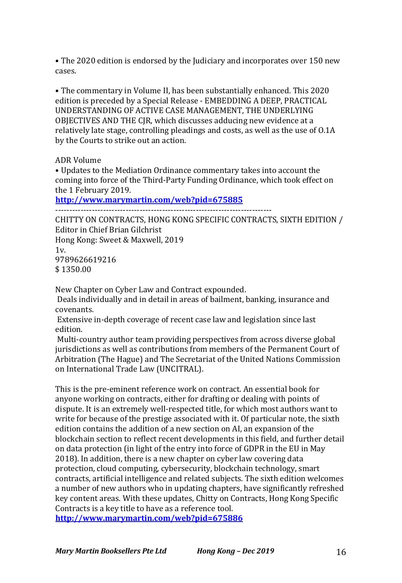• The 2020 edition is endorsed by the Judiciary and incorporates over 150 new cases.

• The commentary in Volume II, has been substantially enhanced. This 2020 edition is preceded by a Special Release - EMBEDDING A DEEP, PRACTICAL UNDERSTANDING OF ACTIVE CASE MANAGEMENT. THE UNDERLYING OBJECTIVES AND THE CJR, which discusses adducing new evidence at a relatively late stage, controlling pleadings and costs, as well as the use of 0.1A by the Courts to strike out an action.

ADR Volume

• Updates to the Mediation Ordinance commentary takes into account the coming into force of the Third-Party Funding Ordinance, which took effect on the 1 February 2019.

**http://www.marymartin.com/web?pid=675885**

CHITTY ON CONTRACTS, HONG KONG SPECIFIC CONTRACTS, SIXTH EDITION / Editor in Chief Brian Gilchrist Hong Kong: Sweet & Maxwell, 2019

 $1v<sub>1</sub>$ 9789626619216 \$ 1350.00 

New Chapter on Cyber Law and Contract expounded.

Deals individually and in detail in areas of bailment, banking, insurance and covenants.

Extensive in-depth coverage of recent case law and legislation since last edition.

Multi-country author team providing perspectives from across diverse global jurisdictions as well as contributions from members of the Permanent Court of Arbitration (The Hague) and The Secretariat of the United Nations Commission on International Trade Law (UNCITRAL).

This is the pre-eminent reference work on contract. An essential book for anyone working on contracts, either for drafting or dealing with points of dispute. It is an extremely well-respected title, for which most authors want to write for because of the prestige associated with it. Of particular note, the sixth edition contains the addition of a new section on AI, an expansion of the blockchain section to reflect recent developments in this field, and further detail on data protection (in light of the entry into force of GDPR in the EU in May 2018). In addition, there is a new chapter on cyber law covering data protection, cloud computing, cybersecurity, blockchain technology, smart contracts, artificial intelligence and related subjects. The sixth edition welcomes a number of new authors who in updating chapters, have significantly refreshed key content areas. With these updates, Chitty on Contracts, Hong Kong Specific Contracts is a key title to have as a reference tool. **http://www.marymartin.com/web?pid=675886**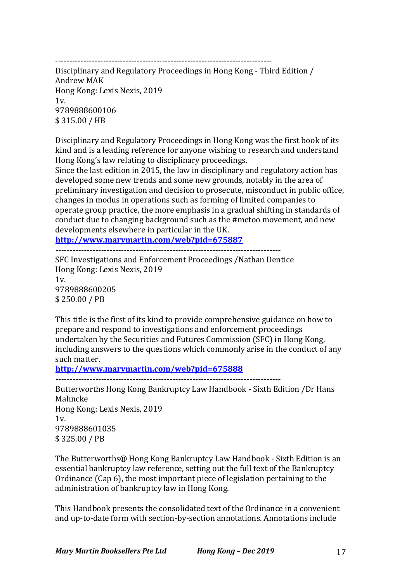-----------------------------------------------------------------------------

Disciplinary and Regulatory Proceedings in Hong Kong - Third Edition / Andrew MAK Hong Kong: Lexis Nexis, 2019  $1v<sub>1</sub>$ 9789888600106 \$ 315.00 / HB

Disciplinary and Regulatory Proceedings in Hong Kong was the first book of its kind and is a leading reference for anyone wishing to research and understand Hong Kong's law relating to disciplinary proceedings.

Since the last edition in 2015, the law in disciplinary and regulatory action has developed some new trends and some new grounds, notably in the area of preliminary investigation and decision to prosecute, misconduct in public office, changes in modus in operations such as forming of limited companies to operate group practice, the more emphasis in a gradual shifting in standards of conduct due to changing background such as the #metoo movement, and new developments elsewhere in particular in the UK.

**http://www.marymartin.com/web?pid=675887**

**-------------------------------------------------------------------------------**

SFC Investigations and Enforcement Proceedings /Nathan Dentice Hong Kong: Lexis Nexis, 2019  $1v<sub>1</sub>$ 9789888600205 \$ 250.00 / PB

This title is the first of its kind to provide comprehensive guidance on how to prepare and respond to investigations and enforcement proceedings undertaken by the Securities and Futures Commission (SFC) in Hong Kong, including answers to the questions which commonly arise in the conduct of any such matter.

**http://www.marymartin.com/web?pid=675888**

**-------------------------------------------------------------------------------**

Butterworths Hong Kong Bankruptcy Law Handbook - Sixth Edition /Dr Hans Mahncke Hong Kong: Lexis Nexis, 2019  $1v$ 9789888601035 \$ 325.00 / PB

The Butterworths® Hong Kong Bankruptcy Law Handbook - Sixth Edition is an essential bankruptcy law reference, setting out the full text of the Bankruptcy Ordinance  $(Cap 6)$ , the most important piece of legislation pertaining to the administration of bankruptcy law in Hong Kong.

This Handbook presents the consolidated text of the Ordinance in a convenient and up-to-date form with section-by-section annotations. Annotations include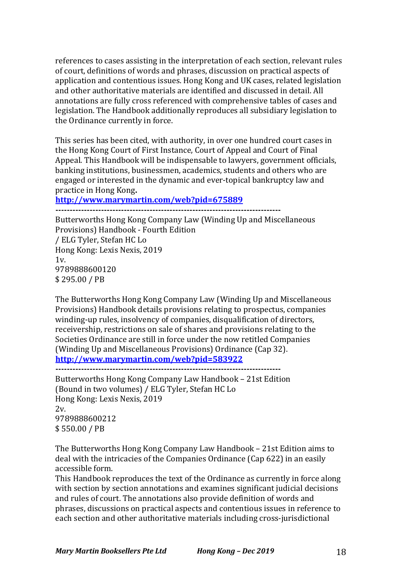references to cases assisting in the interpretation of each section, relevant rules of court, definitions of words and phrases, discussion on practical aspects of application and contentious issues. Hong Kong and UK cases, related legislation and other authoritative materials are identified and discussed in detail. All annotations are fully cross referenced with comprehensive tables of cases and legislation. The Handbook additionally reproduces all subsidiary legislation to the Ordinance currently in force.

This series has been cited, with authority, in over one hundred court cases in the Hong Kong Court of First Instance, Court of Appeal and Court of Final Appeal. This Handbook will be indispensable to lawyers, government officials, banking institutions, businessmen, academics, students and others who are engaged or interested in the dynamic and ever-topical bankruptcy law and practice in Hong Kong.

**http://www.marymartin.com/web?pid=675889**

**-------------------------------------------------------------------------------**

Butterworths Hong Kong Company Law (Winding Up and Miscellaneous Provisions) Handbook - Fourth Edition / ELG Tyler, Stefan HC Lo Hong Kong: Lexis Nexis, 2019  $1v$ . 9789888600120 \$ 295.00 / PB

The Butterworths Hong Kong Company Law (Winding Up and Miscellaneous Provisions) Handbook details provisions relating to prospectus, companies winding-up rules, insolvency of companies, disqualification of directors, receivership, restrictions on sale of shares and provisions relating to the Societies Ordinance are still in force under the now retitled Companies (Winding Up and Miscellaneous Provisions) Ordinance (Cap 32). **http://www.marymartin.com/web?pid=583922**

Butterworths Hong Kong Company Law Handbook – 21st Edition (Bound in two volumes) / ELG Tyler, Stefan HC Lo Hong Kong: Lexis Nexis, 2019 2v. 9789888600212 \$ 550.00 / PB

The Butterworths Hong Kong Company Law Handbook – 21st Edition aims to deal with the intricacies of the Companies Ordinance (Cap 622) in an easily accessible form.

This Handbook reproduces the text of the Ordinance as currently in force along with section by section annotations and examines significant judicial decisions and rules of court. The annotations also provide definition of words and phrases, discussions on practical aspects and contentious issues in reference to each section and other authoritative materials including cross-jurisdictional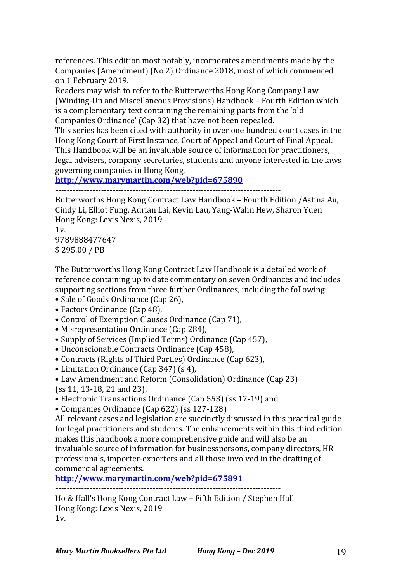references. This edition most notably, incorporates amendments made by the Companies (Amendment) (No 2) Ordinance 2018, most of which commenced on 1 February 2019.

Readers may wish to refer to the Butterworths Hong Kong Company Law (Winding-Up and Miscellaneous Provisions) Handbook - Fourth Edition which is a complementary text containing the remaining parts from the 'old Companies Ordinance' (Cap 32) that have not been repealed.

This series has been cited with authority in over one hundred court cases in the Hong Kong Court of First Instance, Court of Appeal and Court of Final Appeal. This Handbook will be an invaluable source of information for practitioners, legal advisers, company secretaries, students and anyone interested in the laws governing companies in Hong Kong.

**http://www.marymartin.com/web?pid=675890**

**-------------------------------------------------------------------------------**

Butterworths Hong Kong Contract Law Handbook – Fourth Edition / Astina Au, Cindy Li, Elliot Fung, Adrian Lai, Kevin Lau, Yang-Wahn Hew, Sharon Yuen Hong Kong: Lexis Nexis, 2019

 $1v$ . 9789888477647 \$ 295.00 / PB

The Butterworths Hong Kong Contract Law Handbook is a detailed work of reference containing up to date commentary on seven Ordinances and includes supporting sections from three further Ordinances, including the following:

• Sale of Goods Ordinance (Cap 26),

- Factors Ordinance (Cap 48),
- Control of Exemption Clauses Ordinance (Cap 71),
- Misrepresentation Ordinance (Cap 284),
- Supply of Services (Implied Terms) Ordinance (Cap 457),
- Unconscionable Contracts Ordinance (Cap 458),
- Contracts (Rights of Third Parties) Ordinance (Cap 623),
- Limitation Ordinance (Cap 347) (s 4),
- Law Amendment and Reform (Consolidation) Ordinance (Cap 23) (ss 11, 13-18, 21 and 23).
- Electronic Transactions Ordinance (Cap 553) (ss 17-19) and
- Companies Ordinance (Cap 622) (ss 127-128)

All relevant cases and legislation are succinctly discussed in this practical guide for legal practitioners and students. The enhancements within this third edition makes this handbook a more comprehensive guide and will also be an invaluable source of information for businesspersons, company directors, HR professionals, importer-exporters and all those involved in the drafting of commercial agreements.

**http://www.marymartin.com/web?pid=675891**

**-------------------------------------------------------------------------------**

Ho & Hall's Hong Kong Contract Law - Fifth Edition / Stephen Hall Hong Kong: Lexis Nexis, 2019 1v.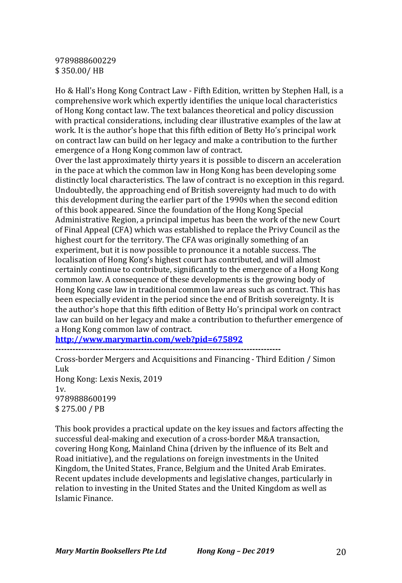#### 9789888600229 \$ 350.00/ HB

Ho & Hall's Hong Kong Contract Law - Fifth Edition, written by Stephen Hall, is a comprehensive work which expertly identifies the unique local characteristics of Hong Kong contact law. The text balances theoretical and policy discussion with practical considerations, including clear illustrative examples of the law at work. It is the author's hope that this fifth edition of Betty Ho's principal work on contract law can build on her legacy and make a contribution to the further emergence of a Hong Kong common law of contract.

Over the last approximately thirty years it is possible to discern an acceleration in the pace at which the common law in Hong Kong has been developing some distinctly local characteristics. The law of contract is no exception in this regard. Undoubtedly, the approaching end of British sovereignty had much to do with this development during the earlier part of the 1990s when the second edition of this book appeared. Since the foundation of the Hong Kong Special Administrative Region, a principal impetus has been the work of the new Court of Final Appeal (CFA) which was established to replace the Privy Council as the highest court for the territory. The CFA was originally something of an experiment, but it is now possible to pronounce it a notable success. The localisation of Hong Kong's highest court has contributed, and will almost certainly continue to contribute, significantly to the emergence of a Hong Kong common law. A consequence of these developments is the growing body of Hong Kong case law in traditional common law areas such as contract. This has been especially evident in the period since the end of British sovereignty. It is the author's hope that this fifth edition of Betty Ho's principal work on contract law can build on her legacy and make a contribution to thefurther emergence of a Hong Kong common law of contract.

**http://www.marymartin.com/web?pid=675892**

**-------------------------------------------------------------------------------** Cross-border Mergers and Acquisitions and Financing - Third Edition / Simon Luk Hong Kong: Lexis Nexis, 2019  $1v<sub>1</sub>$ 9789888600199 \$ 275.00 / PB

This book provides a practical update on the key issues and factors affecting the successful deal-making and execution of a cross-border M&A transaction, covering Hong Kong, Mainland China (driven by the influence of its Belt and Road initiative), and the regulations on foreign investments in the United Kingdom, the United States, France, Belgium and the United Arab Emirates. Recent updates include developments and legislative changes, particularly in relation to investing in the United States and the United Kingdom as well as Islamic Finance.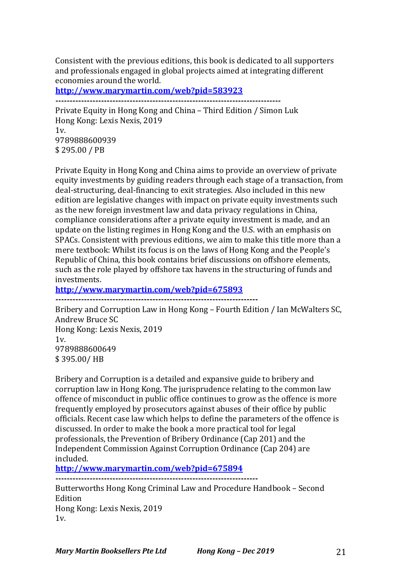Consistent with the previous editions, this book is dedicated to all supporters and professionals engaged in global projects aimed at integrating different economies around the world.

**http://www.marymartin.com/web?pid=583923**

**-------------------------------------------------------------------------------**

Private Equity in Hong Kong and China - Third Edition / Simon Luk Hong Kong: Lexis Nexis, 2019  $1v<sub>l</sub>$ 9789888600939 \$ 295.00 / PB

Private Equity in Hong Kong and China aims to provide an overview of private equity investments by guiding readers through each stage of a transaction, from deal-structuring, deal-financing to exit strategies. Also included in this new edition are legislative changes with impact on private equity investments such as the new foreign investment law and data privacy regulations in China, compliance considerations after a private equity investment is made, and an update on the listing regimes in Hong Kong and the U.S. with an emphasis on SPACs. Consistent with previous editions, we aim to make this title more than a mere textbook: Whilst its focus is on the laws of Hong Kong and the People's Republic of China, this book contains brief discussions on offshore elements, such as the role played by offshore tax havens in the structuring of funds and investments.

**http://www.marymartin.com/web?pid=675893**

**-----------------------------------------------------------------------**

Bribery and Corruption Law in Hong Kong – Fourth Edition / Ian McWalters SC, Andrew Bruce SC Hong Kong: Lexis Nexis, 2019  $1v$ 9789888600649 \$ 395.00/ HB

Bribery and Corruption is a detailed and expansive guide to bribery and corruption law in Hong Kong. The jurisprudence relating to the common law offence of misconduct in public office continues to grow as the offence is more frequently employed by prosecutors against abuses of their office by public officials. Recent case law which helps to define the parameters of the offence is discussed. In order to make the book a more practical tool for legal professionals, the Prevention of Bribery Ordinance (Cap 201) and the Independent Commission Against Corruption Ordinance (Cap 204) are included.

**http://www.marymartin.com/web?pid=675894**

**-----------------------------------------------------------------------**

Butterworths Hong Kong Criminal Law and Procedure Handbook – Second Edition Hong Kong: Lexis Nexis, 2019 1v.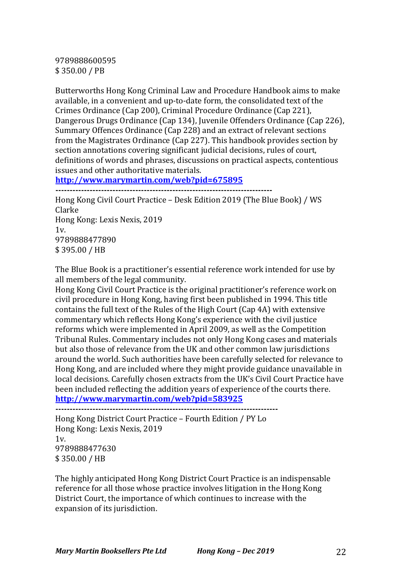9789888600595 \$ 350.00 / PB

Butterworths Hong Kong Criminal Law and Procedure Handbook aims to make available, in a convenient and up-to-date form, the consolidated text of the Crimes Ordinance (Cap 200), Criminal Procedure Ordinance (Cap 221), Dangerous Drugs Ordinance (Cap 134), Juvenile Offenders Ordinance (Cap 226), Summary Offences Ordinance (Cap 228) and an extract of relevant sections from the Magistrates Ordinance (Cap 227). This handbook provides section by section annotations covering significant judicial decisions, rules of court, definitions of words and phrases, discussions on practical aspects, contentious issues and other authoritative materials.

**http://www.marymartin.com/web?pid=675895**

**----------------------------------------------------------------------------** Hong Kong Civil Court Practice - Desk Edition 2019 (The Blue Book) / WS Clarke

Hong Kong: Lexis Nexis, 2019  $1v$ . 9789888477890 \$ 395.00 / HB

The Blue Book is a practitioner's essential reference work intended for use by all members of the legal community.

Hong Kong Civil Court Practice is the original practitioner's reference work on civil procedure in Hong Kong, having first been published in 1994. This title contains the full text of the Rules of the High Court (Cap 4A) with extensive commentary which reflects Hong Kong's experience with the civil justice reforms which were implemented in April 2009, as well as the Competition Tribunal Rules. Commentary includes not only Hong Kong cases and materials but also those of relevance from the UK and other common law jurisdictions around the world. Such authorities have been carefully selected for relevance to Hong Kong, and are included where they might provide guidance unavailable in local decisions. Carefully chosen extracts from the UK's Civil Court Practice have been included reflecting the addition years of experience of the courts there. **http://www.marymartin.com/web?pid=583925**

**------------------------------------------------------------------------------**

Hong Kong District Court Practice – Fourth Edition / PY Lo Hong Kong: Lexis Nexis, 2019 1v. 9789888477630 \$ 350.00 / HB

The highly anticipated Hong Kong District Court Practice is an indispensable reference for all those whose practice involves litigation in the Hong Kong District Court, the importance of which continues to increase with the expansion of its jurisdiction.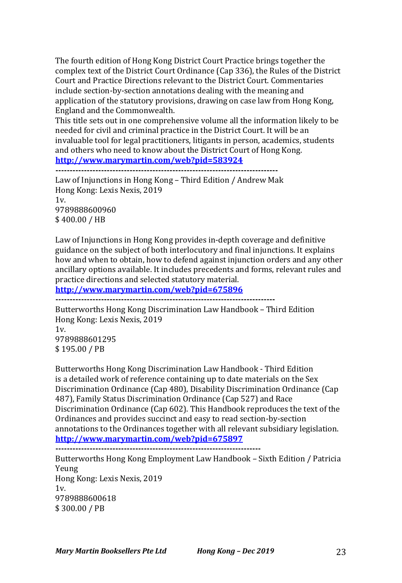The fourth edition of Hong Kong District Court Practice brings together the complex text of the District Court Ordinance (Cap 336), the Rules of the District Court and Practice Directions relevant to the District Court. Commentaries include section-by-section annotations dealing with the meaning and application of the statutory provisions, drawing on case law from Hong Kong, England and the Commonwealth.

This title sets out in one comprehensive volume all the information likely to be needed for civil and criminal practice in the District Court. It will be an invaluable tool for legal practitioners, litigants in person, academics, students and others who need to know about the District Court of Hong Kong. **http://www.marymartin.com/web?pid=583924**

**------------------------------------------------------------------------------**

Law of Injunctions in Hong Kong – Third Edition / Andrew Mak Hong Kong: Lexis Nexis, 2019 1v. 9789888600960 \$ 400.00 / HB

Law of Injunctions in Hong Kong provides in-depth coverage and definitive guidance on the subject of both interlocutory and final injunctions. It explains how and when to obtain, how to defend against injunction orders and any other ancillary options available. It includes precedents and forms, relevant rules and practice directions and selected statutory material.

**http://www.marymartin.com/web?pid=675896**

**-----------------------------------------------------------------------------**

Butterworths Hong Kong Discrimination Law Handbook – Third Edition Hong Kong: Lexis Nexis, 2019  $1v$ 9789888601295 \$ 195.00 / PB

Butterworths Hong Kong Discrimination Law Handbook - Third Edition is a detailed work of reference containing up to date materials on the Sex Discrimination Ordinance (Cap 480), Disability Discrimination Ordinance (Cap 487), Family Status Discrimination Ordinance (Cap 527) and Race Discrimination Ordinance (Cap 602). This Handbook reproduces the text of the Ordinances and provides succinct and easy to read section-by-section annotations to the Ordinances together with all relevant subsidiary legislation. **http://www.marymartin.com/web?pid=675897 ------------------------------------------------------------------------**

Butterworths Hong Kong Employment Law Handbook – Sixth Edition / Patricia Yeung Hong Kong: Lexis Nexis, 2019  $1v<sub>l</sub>$ 9789888600618 \$ 300.00 / PB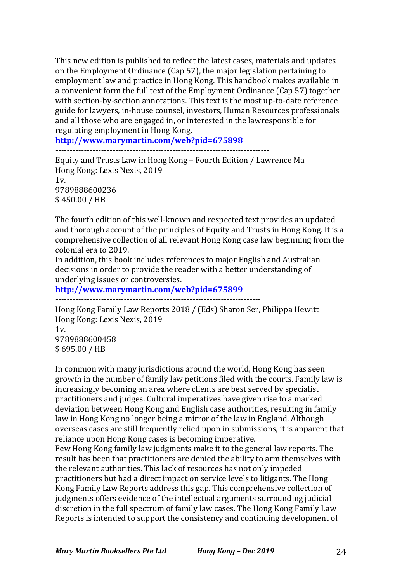This new edition is published to reflect the latest cases, materials and updates on the Employment Ordinance (Cap 57), the major legislation pertaining to employment law and practice in Hong Kong. This handbook makes available in a convenient form the full text of the Employment Ordinance (Cap 57) together with section-by-section annotations. This text is the most up-to-date reference guide for lawyers, in-house counsel, investors, Human Resources professionals and all those who are engaged in, or interested in the lawresponsible for regulating employment in Hong Kong.

**http://www.marymartin.com/web?pid=675898**

**---------------------------------------------------------------------------**

Equity and Trusts Law in Hong Kong – Fourth Edition / Lawrence Ma Hong Kong: Lexis Nexis, 2019  $1v<sub>1</sub>$ 9789888600236 \$ 450.00 / HB

The fourth edition of this well-known and respected text provides an updated and thorough account of the principles of Equity and Trusts in Hong Kong. It is a comprehensive collection of all relevant Hong Kong case law beginning from the colonial era to 2019.

In addition, this book includes references to major English and Australian decisions in order to provide the reader with a better understanding of underlying issues or controversies.

**http://www.marymartin.com/web?pid=675899**

**------------------------------------------------------------------------**

Hong Kong Family Law Reports 2018 / (Eds) Sharon Ser, Philippa Hewitt Hong Kong: Lexis Nexis, 2019  $1v$ 9789888600458 \$ 695.00 / HB

In common with many jurisdictions around the world, Hong Kong has seen growth in the number of family law petitions filed with the courts. Family law is increasingly becoming an area where clients are best served by specialist practitioners and judges. Cultural imperatives have given rise to a marked deviation between Hong Kong and English case authorities, resulting in family law in Hong Kong no longer being a mirror of the law in England. Although overseas cases are still frequently relied upon in submissions, it is apparent that reliance upon Hong Kong cases is becoming imperative.

Few Hong Kong family law judgments make it to the general law reports. The result has been that practitioners are denied the ability to arm themselves with the relevant authorities. This lack of resources has not only impeded practitioners but had a direct impact on service levels to litigants. The Hong Kong Family Law Reports address this gap. This comprehensive collection of judgments offers evidence of the intellectual arguments surrounding judicial discretion in the full spectrum of family law cases. The Hong Kong Family Law Reports is intended to support the consistency and continuing development of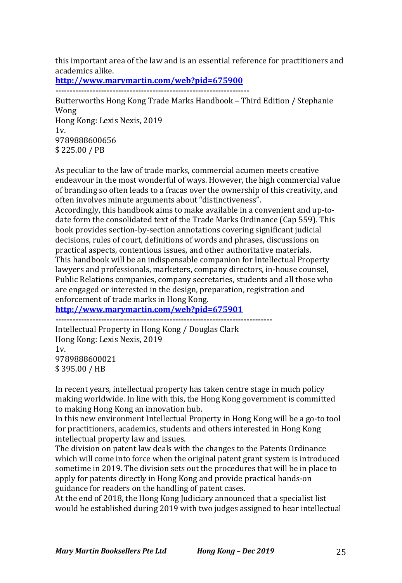this important area of the law and is an essential reference for practitioners and academics alike.

**http://www.marymartin.com/web?pid=675900**

**--------------------------------------------------------------------**

Butterworths Hong Kong Trade Marks Handbook – Third Edition / Stephanie Wong Hong Kong: Lexis Nexis, 2019  $1v<sub>l</sub>$ 9789888600656 \$ 225.00 / PB

As peculiar to the law of trade marks, commercial acumen meets creative endeavour in the most wonderful of ways. However, the high commercial value of branding so often leads to a fracas over the ownership of this creativity, and often involves minute arguments about "distinctiveness".

Accordingly, this handbook aims to make available in a convenient and up-todate form the consolidated text of the Trade Marks Ordinance (Cap 559). This book provides section-by-section annotations covering significant judicial decisions, rules of court, definitions of words and phrases, discussions on practical aspects, contentious issues, and other authoritative materials. This handbook will be an indispensable companion for Intellectual Property lawyers and professionals, marketers, company directors, in-house counsel, Public Relations companies, company secretaries, students and all those who are engaged or interested in the design, preparation, registration and enforcement of trade marks in Hong Kong.

**http://www.marymartin.com/web?pid=675901**

Intellectual Property in Hong Kong / Douglas Clark

Hong Kong: Lexis Nexis, 2019 1v. 9789888600021

\$ 395.00 / HB

In recent years, intellectual property has taken centre stage in much policy making worldwide. In line with this, the Hong Kong government is committed to making Hong Kong an innovation hub.

In this new environment Intellectual Property in Hong Kong will be a go-to tool for practitioners, academics, students and others interested in Hong Kong intellectual property law and issues.

The division on patent law deals with the changes to the Patents Ordinance which will come into force when the original patent grant system is introduced sometime in 2019. The division sets out the procedures that will be in place to apply for patents directly in Hong Kong and provide practical hands-on guidance for readers on the handling of patent cases.

At the end of 2018, the Hong Kong Judiciary announced that a specialist list would be established during 2019 with two judges assigned to hear intellectual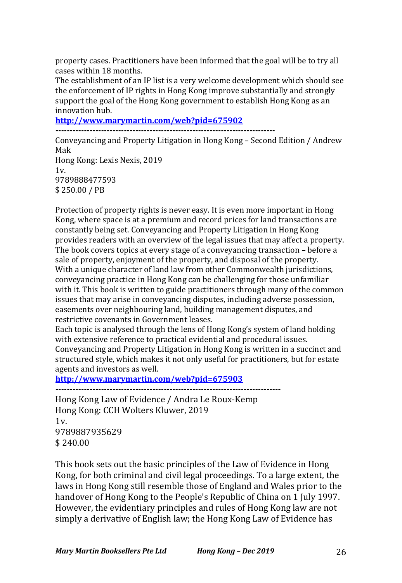property cases. Practitioners have been informed that the goal will be to try all cases within 18 months.

The establishment of an IP list is a very welcome development which should see the enforcement of IP rights in Hong Kong improve substantially and strongly support the goal of the Hong Kong government to establish Hong Kong as an innovation hub.

**http://www.marymartin.com/web?pid=675902**

**-----------------------------------------------------------------------------**

Conveyancing and Property Litigation in Hong Kong - Second Edition / Andrew Mak

Hong Kong: Lexis Nexis, 2019  $1v.$ 9789888477593 \$ 250.00 / PB

Protection of property rights is never easy. It is even more important in Hong Kong, where space is at a premium and record prices for land transactions are constantly being set. Conveyancing and Property Litigation in Hong Kong provides readers with an overview of the legal issues that may affect a property. The book covers topics at every stage of a conveyancing transaction  $-$  before a sale of property, enjoyment of the property, and disposal of the property. With a unique character of land law from other Commonwealth jurisdictions, conveyancing practice in Hong Kong can be challenging for those unfamiliar with it. This book is written to guide practitioners through many of the common issues that may arise in conveyancing disputes, including adverse possession, easements over neighbouring land, building management disputes, and restrictive covenants in Government leases.

Each topic is analysed through the lens of Hong Kong's system of land holding with extensive reference to practical evidential and procedural issues.

Conveyancing and Property Litigation in Hong Kong is written in a succinct and structured style, which makes it not only useful for practitioners, but for estate agents and investors as well.

**http://www.marymartin.com/web?pid=675903**

**-------------------------------------------------------------------------------**

Hong Kong Law of Evidence / Andra Le Roux-Kemp Hong Kong: CCH Wolters Kluwer, 2019 1v. 9789887935629  $$240.00$ 

This book sets out the basic principles of the Law of Evidence in Hong Kong, for both criminal and civil legal proceedings. To a large extent, the laws in Hong Kong still resemble those of England and Wales prior to the handover of Hong Kong to the People's Republic of China on 1 July 1997. However, the evidentiary principles and rules of Hong Kong law are not simply a derivative of English law; the Hong Kong Law of Evidence has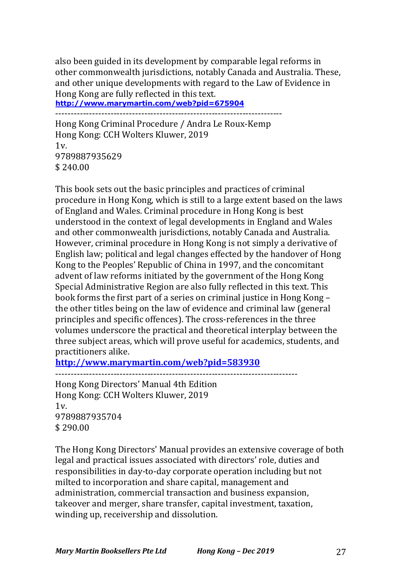also been guided in its development by comparable legal reforms in other commonwealth jurisdictions, notably Canada and Australia. These, and other unique developments with regard to the Law of Evidence in Hong Kong are fully reflected in this text.

**http://www.marymartin.com/web?pid=675904**

--------------------------------------------------------------------------

Hong Kong Criminal Procedure / Andra Le Roux-Kemp Hong Kong: CCH Wolters Kluwer, 2019  $1v<sub>l</sub>$ 9789887935629 \$ 240.00

This book sets out the basic principles and practices of criminal procedure in Hong Kong, which is still to a large extent based on the laws of England and Wales. Criminal procedure in Hong Kong is best understood in the context of legal developments in England and Wales and other commonwealth jurisdictions, notably Canada and Australia. However, criminal procedure in Hong Kong is not simply a derivative of English law; political and legal changes effected by the handover of Hong Kong to the Peoples' Republic of China in 1997, and the concomitant advent of law reforms initiated by the government of the Hong Kong Special Administrative Region are also fully reflected in this text. This book forms the first part of a series on criminal justice in Hong Kong – the other titles being on the law of evidence and criminal law (general principles and specific offences). The cross-references in the three volumes underscore the practical and theoretical interplay between the three subject areas, which will prove useful for academics, students, and practitioners alike.

**http://www.marymartin.com/web?pid=583930**

-------------------------------------------------------------------------------

Hong Kong Directors' Manual 4th Edition Hong Kong: CCH Wolters Kluwer, 2019  $1v.$ 9789887935704  $$290.00$ 

The Hong Kong Directors' Manual provides an extensive coverage of both legal and practical issues associated with directors' role, duties and responsibilities in day-to-day corporate operation including but not milted to incorporation and share capital, management and administration, commercial transaction and business expansion, takeover and merger, share transfer, capital investment, taxation, winding up, receivership and dissolution.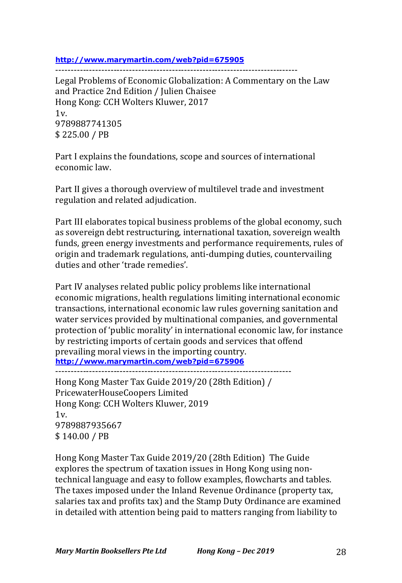**http://www.marymartin.com/web?pid=675905**

-------------------------------------------------------------------------------

Legal Problems of Economic Globalization: A Commentary on the Law and Practice 2nd Edition / Julien Chaisee Hong Kong: CCH Wolters Kluwer, 2017  $1v$ 9789887741305 \$ 225.00 / PB

Part I explains the foundations, scope and sources of international economic law.

Part II gives a thorough overview of multilevel trade and investment regulation and related adjudication.

Part III elaborates topical business problems of the global economy, such as sovereign debt restructuring, international taxation, sovereign wealth funds, green energy investments and performance requirements, rules of origin and trademark regulations, anti-dumping duties, countervailing duties and other 'trade remedies'

Part IV analyses related public policy problems like international economic migrations, health regulations limiting international economic transactions, international economic law rules governing sanitation and water services provided by multinational companies, and governmental protection of 'public morality' in international economic law, for instance by restricting imports of certain goods and services that offend prevailing moral views in the importing country. **http://www.marymartin.com/web?pid=675906**

-----------------------------------------------------------------------------

Hong Kong Master Tax Guide 2019/20 (28th Edition) / PricewaterHouseCoopers Limited Hong Kong: CCH Wolters Kluwer, 2019  $1v$ 9789887935667 \$ 140.00 / PB

Hong Kong Master Tax Guide 2019/20 (28th Edition) The Guide explores the spectrum of taxation issues in Hong Kong using nontechnical language and easy to follow examples, flowcharts and tables. The taxes imposed under the Inland Revenue Ordinance (property tax, salaries tax and profits tax) and the Stamp Duty Ordinance are examined in detailed with attention being paid to matters ranging from liability to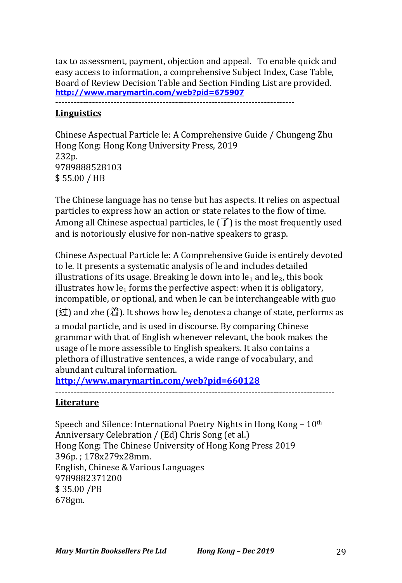tax to assessment, payment, objection and appeal. To enable quick and easy access to information, a comprehensive Subject Index, Case Table, Board of Review Decision Table and Section Finding List are provided. **http://www.marymartin.com/web?pid=675907**

------------------------------------------------------------------------------

# **Linguistics**

Chinese Aspectual Particle le: A Comprehensive Guide / Chungeng Zhu Hong Kong: Hong Kong University Press, 2019 232p. 9789888528103 \$ 55.00 / HB

The Chinese language has no tense but has aspects. It relies on aspectual particles to express how an action or state relates to the flow of time. Among all Chinese aspectual particles, le  $(\overrightarrow{I})$  is the most frequently used and is notoriously elusive for non-native speakers to grasp.

Chinese Aspectual Particle le: A Comprehensive Guide is entirely devoted to le. It presents a systematic analysis of le and includes detailed illustrations of its usage. Breaking le down into  $le_1$  and  $le_2$ , this book illustrates how  $le_1$  forms the perfective aspect: when it is obligatory, incompatible, or optional, and when le can be interchangeable with guo

 $($ 过) and zhe  $($ 着). It shows how le<sub>2</sub> denotes a change of state, performs as

a modal particle, and is used in discourse. By comparing Chinese grammar with that of English whenever relevant, the book makes the usage of le more assessible to English speakers. It also contains a plethora of illustrative sentences, a wide range of vocabulary, and abundant cultural information.

**http://www.marymartin.com/web?pid=660128**

-------------------------------------------------------------------------------------------

#### **Literature**

Speech and Silence: International Poetry Nights in Hong Kong –  $10<sup>th</sup>$ Anniversary Celebration / (Ed) Chris Song (et al.) Hong Kong: The Chinese University of Hong Kong Press 2019 396p.; 178x279x28mm. English, Chinese & Various Languages 9789882371200 \$ 35.00 /PB 678gm.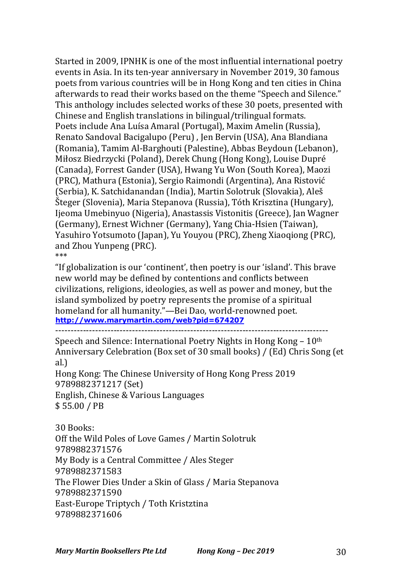Started in 2009, IPNHK is one of the most influential international poetry events in Asia. In its ten-year anniversary in November 2019, 30 famous poets from various countries will be in Hong Kong and ten cities in China afterwards to read their works based on the theme "Speech and Silence." This anthology includes selected works of these 30 poets, presented with Chinese and English translations in bilingual/trilingual formats. Poets include Ana Luísa Amaral (Portugal), Maxim Amelin (Russia), Renato Sandoval Bacigalupo (Peru), Jen Bervin (USA), Ana Blandiana (Romania), Tamim Al-Barghouti (Palestine), Abbas Beydoun (Lebanon), Miłosz Biedrzycki (Poland), Derek Chung (Hong Kong), Louise Dupré (Canada), Forrest Gander (USA), Hwang Yu Won (South Korea), Maozi (PRC), Mathura (Estonia), Sergio Raimondi (Argentina), Ana Ristović (Serbia), K. Satchidanandan (India), Martin Solotruk (Slovakia), Aleš Šteger (Slovenia), Maria Stepanova (Russia), Tóth Krisztina (Hungary), Ijeoma Umebinyuo (Nigeria), Anastassis Vistonitis (Greece), Jan Wagner (Germany), Ernest Wichner (Germany), Yang Chia-Hsien (Taiwan), Yasuhiro Yotsumoto (Japan), Yu Youyou (PRC), Zheng Xiaoqiong (PRC), and Zhou Yunpeng (PRC). \*\*\*

"If globalization is our 'continent', then poetry is our 'island'. This brave new world may be defined by contentions and conflicts between civilizations, religions, ideologies, as well as power and money, but the island symbolized by poetry represents the promise of a spiritual homeland for all humanity."-Bei Dao, world-renowned poet. **http://www.marymartin.com/web?pid=674207**

-----------------------------------------------------------------------------------------

Speech and Silence: International Poetry Nights in Hong Kong –  $10<sup>th</sup>$ Anniversary Celebration (Box set of 30 small books) / (Ed) Chris Song (et al.)

Hong Kong: The Chinese University of Hong Kong Press 2019 9789882371217 (Set) English, Chinese & Various Languages \$ 55.00 / PB

30 Books: Off the Wild Poles of Love Games / Martin Solotruk 9789882371576 My Body is a Central Committee / Ales Steger 9789882371583 The Flower Dies Under a Skin of Glass / Maria Stepanova 9789882371590 East-Europe Triptych / Toth Kristztina 9789882371606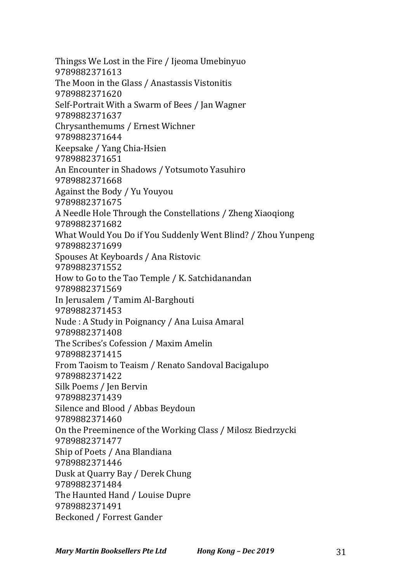Thingss We Lost in the Fire / Ijeoma Umebinyuo 9789882371613 The Moon in the Glass / Anastassis Vistonitis 9789882371620 Self-Portrait With a Swarm of Bees / Jan Wagner 9789882371637 Chrysanthemums / Ernest Wichner 9789882371644 Keepsake / Yang Chia-Hsien 9789882371651 An Encounter in Shadows / Yotsumoto Yasuhiro 9789882371668 Against the Body / Yu Youyou 9789882371675 A Needle Hole Through the Constellations / Zheng Xiaoqiong 9789882371682 What Would You Do if You Suddenly Went Blind? / Zhou Yunpeng 9789882371699 Spouses At Keyboards / Ana Ristovic 9789882371552 How to Go to the Tao Temple / K. Satchidanandan 9789882371569 In Jerusalem / Tamim Al-Barghouti 9789882371453 Nude : A Study in Poignancy / Ana Luisa Amaral 9789882371408 The Scribes's Cofession / Maxim Amelin 9789882371415 From Taoism to Teaism / Renato Sandoval Bacigalupo 9789882371422 Silk Poems / Jen Bervin 9789882371439 Silence and Blood / Abbas Beydoun 9789882371460 On the Preeminence of the Working Class / Milosz Biedrzycki 9789882371477 Ship of Poets / Ana Blandiana 9789882371446 Dusk at Quarry Bay / Derek Chung 9789882371484 The Haunted Hand / Louise Dupre 9789882371491 Beckoned / Forrest Gander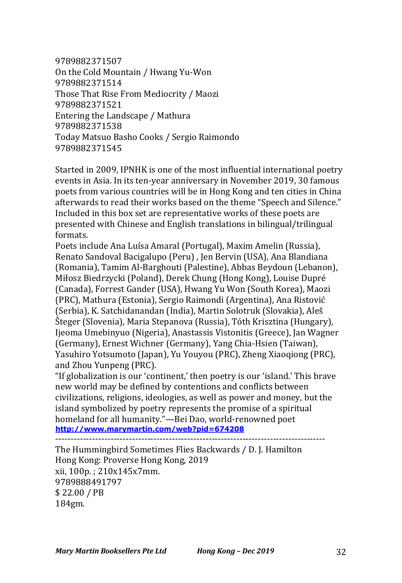9789882371507 On the Cold Mountain / Hwang Yu-Won 9789882371514 Those That Rise From Mediocrity / Maozi 9789882371521 Entering the Landscape / Mathura 9789882371538 Today Matsuo Basho Cooks / Sergio Raimondo 9789882371545

Started in 2009, IPNHK is one of the most influential international poetry events in Asia. In its ten-year anniversary in November 2019, 30 famous poets from various countries will be in Hong Kong and ten cities in China afterwards to read their works based on the theme "Speech and Silence." Included in this box set are representative works of these poets are presented with Chinese and English translations in bilingual/trilingual formats.

Poets include Ana Luísa Amaral (Portugal), Maxim Amelin (Russia), Renato Sandoval Bacigalupo (Peru), Jen Bervin (USA), Ana Blandiana (Romania), Tamim Al-Barghouti (Palestine), Abbas Beydoun (Lebanon), Miłosz Biedrzycki (Poland), Derek Chung (Hong Kong), Louise Dupré (Canada), Forrest Gander (USA), Hwang Yu Won (South Korea), Maozi (PRC), Mathura (Estonia), Sergio Raimondi (Argentina), Ana Ristović (Serbia), K. Satchidanandan (India), Martin Solotruk (Slovakia), Aleš Šteger (Slovenia), Maria Stepanova (Russia), Tóth Krisztina (Hungary), Ijeoma Umebinyuo (Nigeria), Anastassis Vistonitis (Greece), Jan Wagner (Germany), Ernest Wichner (Germany), Yang Chia-Hsien (Taiwan), Yasuhiro Yotsumoto (Japan), Yu Youyou (PRC), Zheng Xiaoqiong (PRC), and Zhou Yunpeng (PRC).

"If globalization is our 'continent,' then poetry is our 'island.' This brave new world may be defined by contentions and conflicts between civilizations, religions, ideologies, as well as power and money, but the island symbolized by poetry represents the promise of a spiritual homeland for all humanity."-Bei Dao, world-renowned poet **http://www.marymartin.com/web?pid=674208**

----------------------------------------------------------------------------------------

The Hummingbird Sometimes Flies Backwards / D. J. Hamilton Hong Kong: Proverse Hong Kong, 2019 xii, 100p.; 210x145x7mm. 9789888491797 \$ 22.00 / PB 184gm.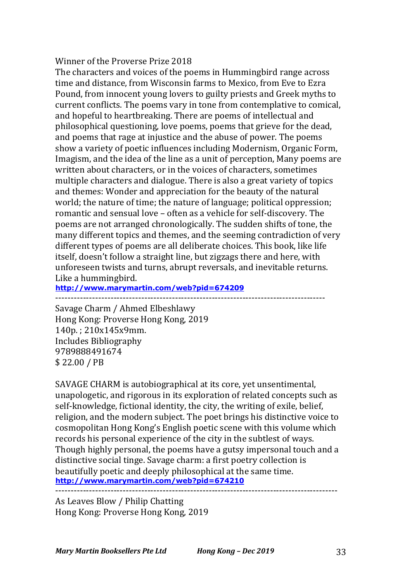#### Winner of the Proverse Prize 2018

The characters and voices of the poems in Hummingbird range across time and distance, from Wisconsin farms to Mexico, from Eve to Ezra Pound, from innocent young lovers to guilty priests and Greek myths to current conflicts. The poems vary in tone from contemplative to comical, and hopeful to heartbreaking. There are poems of intellectual and philosophical questioning, love poems, poems that grieve for the dead, and poems that rage at injustice and the abuse of power. The poems show a variety of poetic influences including Modernism, Organic Form, Imagism, and the idea of the line as a unit of perception, Many poems are written about characters, or in the voices of characters, sometimes multiple characters and dialogue. There is also a great variety of topics and themes: Wonder and appreciation for the beauty of the natural world; the nature of time; the nature of language; political oppression; romantic and sensual love – often as a vehicle for self-discovery. The poems are not arranged chronologically. The sudden shifts of tone, the many different topics and themes, and the seeming contradiction of very different types of poems are all deliberate choices. This book, like life itself, doesn't follow a straight line, but zigzags there and here, with unforeseen twists and turns, abrupt reversals, and inevitable returns. Like a hummingbird.

#### **http://www.marymartin.com/web?pid=674209**

----------------------------------------------------------------------------------------

Savage Charm / Ahmed Elbeshlawy Hong Kong: Proverse Hong Kong, 2019 140p.; 210x145x9mm. Includes Bibliography 9789888491674 \$ 22.00 / PB

SAVAGE CHARM is autobiographical at its core, yet unsentimental, unapologetic, and rigorous in its exploration of related concepts such as self-knowledge, fictional identity, the city, the writing of exile, belief, religion, and the modern subject. The poet brings his distinctive voice to cosmopolitan Hong Kong's English poetic scene with this volume which records his personal experience of the city in the subtlest of ways. Though highly personal, the poems have a gutsy impersonal touch and a distinctive social tinge. Savage charm: a first poetry collection is beautifully poetic and deeply philosophical at the same time. **http://www.marymartin.com/web?pid=674210** --------------------------------------------------------------------------------------------

As Leaves Blow / Philip Chatting Hong Kong: Proverse Hong Kong, 2019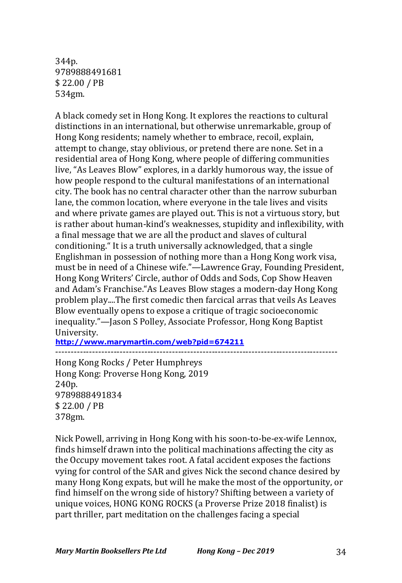344p. 9789888491681 \$ 22.00 / PB 534gm.

A black comedy set in Hong Kong. It explores the reactions to cultural distinctions in an international, but otherwise unremarkable, group of Hong Kong residents; namely whether to embrace, recoil, explain, attempt to change, stay oblivious, or pretend there are none. Set in a residential area of Hong Kong, where people of differing communities live, "As Leaves Blow" explores, in a darkly humorous way, the issue of how people respond to the cultural manifestations of an international city. The book has no central character other than the narrow suburban lane, the common location, where everyone in the tale lives and visits and where private games are played out. This is not a virtuous story, but is rather about human-kind's weaknesses, stupidity and inflexibility, with a final message that we are all the product and slaves of cultural conditioning." It is a truth universally acknowledged, that a single Englishman in possession of nothing more than a Hong Kong work visa, must be in need of a Chinese wife."—Lawrence Gray, Founding President, Hong Kong Writers' Circle, author of Odds and Sods, Cop Show Heaven and Adam's Franchise. "As Leaves Blow stages a modern-day Hong Kong problem play....The first comedic then farcical arras that veils As Leaves Blow eventually opens to expose a critique of tragic socioeconomic inequality."—Jason S Polley, Associate Professor, Hong Kong Baptist University.

**http://www.marymartin.com/web?pid=674211**

-------------------------------------------------------------------------------------------- Hong Kong Rocks / Peter Humphreys Hong Kong: Proverse Hong Kong, 2019 240p. 9789888491834 \$ 22.00 / PB 378gm.

Nick Powell, arriving in Hong Kong with his soon-to-be-ex-wife Lennox, finds himself drawn into the political machinations affecting the city as the Occupy movement takes root. A fatal accident exposes the factions vying for control of the SAR and gives Nick the second chance desired by many Hong Kong expats, but will he make the most of the opportunity, or find himself on the wrong side of history? Shifting between a variety of unique voices, HONG KONG ROCKS (a Proverse Prize 2018 finalist) is part thriller, part meditation on the challenges facing a special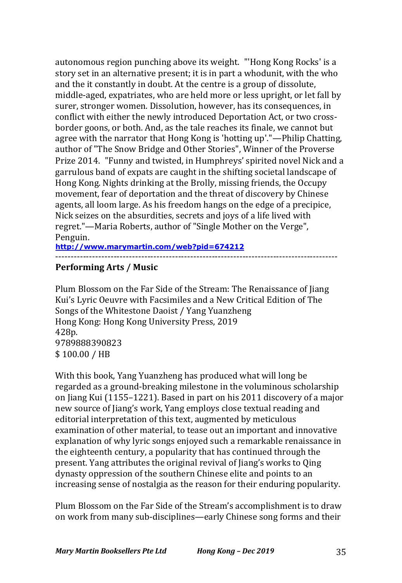autonomous region punching above its weight. "'Hong Kong Rocks' is a story set in an alternative present; it is in part a whodunit, with the who and the it constantly in doubt. At the centre is a group of dissolute, middle-aged, expatriates, who are held more or less upright, or let fall by surer, stronger women. Dissolution, however, has its consequences, in conflict with either the newly introduced Deportation Act, or two crossborder goons, or both. And, as the tale reaches its finale, we cannot but agree with the narrator that Hong Kong is 'hotting up'."—Philip Chatting, author of "The Snow Bridge and Other Stories", Winner of the Proverse Prize 2014. "Funny and twisted, in Humphreys' spirited novel Nick and a garrulous band of expats are caught in the shifting societal landscape of Hong Kong. Nights drinking at the Brolly, missing friends, the Occupy movement, fear of deportation and the threat of discovery by Chinese agents, all loom large. As his freedom hangs on the edge of a precipice, Nick seizes on the absurdities, secrets and joys of a life lived with regret."—Maria Roberts, author of "Single Mother on the Verge", Penguin.

**http://www.marymartin.com/web?pid=674212** --------------------------------------------------------------------------------------------

# **Performing Arts / Music**

Plum Blossom on the Far Side of the Stream: The Renaissance of Jiang Kui's Lyric Oeuvre with Facsimiles and a New Critical Edition of The Songs of the Whitestone Daoist / Yang Yuanzheng Hong Kong: Hong Kong University Press, 2019 428p. 9789888390823 \$ 100.00 / HB

With this book, Yang Yuanzheng has produced what will long be regarded as a ground-breaking milestone in the voluminous scholarship on Jiang Kui (1155–1221). Based in part on his 2011 discovery of a major new source of Jiang's work, Yang employs close textual reading and editorial interpretation of this text, augmented by meticulous examination of other material, to tease out an important and innovative explanation of why lyric songs enjoyed such a remarkable renaissance in the eighteenth century, a popularity that has continued through the present. Yang attributes the original revival of Jiang's works to Qing dynasty oppression of the southern Chinese elite and points to an increasing sense of nostalgia as the reason for their enduring popularity.

Plum Blossom on the Far Side of the Stream's accomplishment is to draw on work from many sub-disciplines—early Chinese song forms and their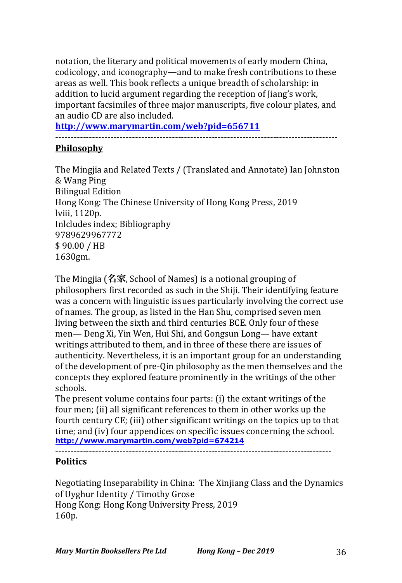notation, the literary and political movements of early modern China, codicology, and iconography—and to make fresh contributions to these areas as well. This book reflects a unique breadth of scholarship: in addition to lucid argument regarding the reception of Jiang's work, important facsimiles of three major manuscripts, five colour plates, and an audio CD are also included.

**http://www.marymartin.com/web?pid=656711** --------------------------------------------------------------------------------------------

# **Philosophy**

The Mingjia and Related Texts / (Translated and Annotate) Ian Johnston & Wang Ping **Bilingual Edition** Hong Kong: The Chinese University of Hong Kong Press, 2019 lviii, 1120p. Inlcludes index; Bibliography 9789629967772 \$ 90.00 / HB 1630gm.

The Mingjia (名家, School of Names) is a notional grouping of philosophers first recorded as such in the Shiji. Their identifying feature was a concern with linguistic issues particularly involving the correct use of names. The group, as listed in the Han Shu, comprised seven men living between the sixth and third centuries BCE. Only four of these men— Deng Xi, Yin Wen, Hui Shi, and Gongsun Long— have extant writings attributed to them, and in three of these there are issues of authenticity. Nevertheless, it is an important group for an understanding of the development of pre-Qin philosophy as the men themselves and the concepts they explored feature prominently in the writings of the other schools.

The present volume contains four parts: (i) the extant writings of the four men; (ii) all significant references to them in other works up the fourth century CE; (iii) other significant writings on the topics up to that time; and (iv) four appendices on specific issues concerning the school. **http://www.marymartin.com/web?pid=674214**

# **Politics**

Negotiating Inseparability in China: The Xinjiang Class and the Dynamics of Uyghur Identity / Timothy Grose Hong Kong: Hong Kong University Press, 2019 160p.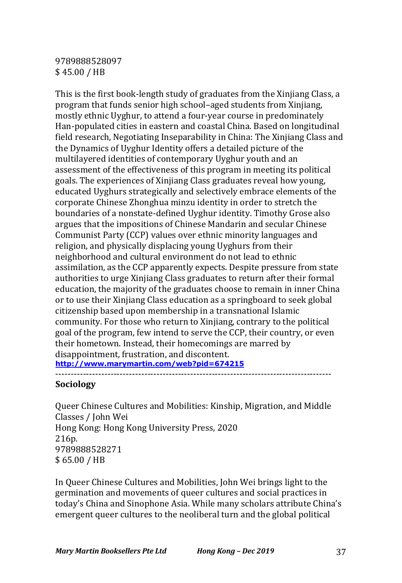# 9789888528097 \$ 45.00 / HB

This is the first book-length study of graduates from the Xinjiang Class, a program that funds senior high school–aged students from Xinjiang, mostly ethnic Uyghur, to attend a four-year course in predominately Han-populated cities in eastern and coastal China. Based on longitudinal field research, Negotiating Inseparability in China: The Xinjiang Class and the Dynamics of Uyghur Identity offers a detailed picture of the multilayered identities of contemporary Uyghur youth and an assessment of the effectiveness of this program in meeting its political goals. The experiences of Xinjiang Class graduates reveal how young, educated Uyghurs strategically and selectively embrace elements of the corporate Chinese Zhonghua minzu identity in order to stretch the boundaries of a nonstate-defined Uyghur identity. Timothy Grose also argues that the impositions of Chinese Mandarin and secular Chinese Communist Party (CCP) values over ethnic minority languages and religion, and physically displacing young Uyghurs from their neighborhood and cultural environment do not lead to ethnic assimilation, as the CCP apparently expects. Despite pressure from state authorities to urge Xinjiang Class graduates to return after their formal education, the majority of the graduates choose to remain in inner China or to use their Xinjiang Class education as a springboard to seek global citizenship based upon membership in a transnational Islamic community. For those who return to Xinjiang, contrary to the political goal of the program, few intend to serve the CCP, their country, or even their hometown. Instead, their homecomings are marred by disappointment, frustration, and discontent. **http://www.marymartin.com/web?pid=674215**

------------------------------------------------------------------------------------------

# **Sociology**

Queer Chinese Cultures and Mobilities: Kinship, Migration, and Middle Classes / John Wei Hong Kong: Hong Kong University Press, 2020 216p. 9789888528271 \$ 65.00 / HB

In Queer Chinese Cultures and Mobilities, John Wei brings light to the germination and movements of queer cultures and social practices in today's China and Sinophone Asia. While many scholars attribute China's emergent queer cultures to the neoliberal turn and the global political